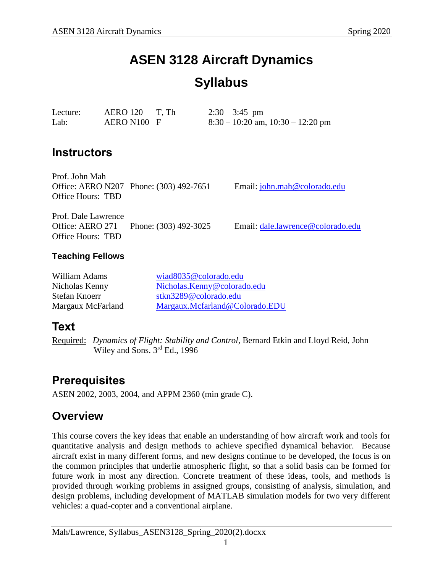# **ASEN 3128 Aircraft Dynamics Syllabus**

| Lecture: | $AERO 120$ T, Th | $2:30 - 3:45$ pm                      |
|----------|------------------|---------------------------------------|
| Lab:     | AERO N100 F      | $8:30 - 10:20$ am, $10:30 - 12:20$ pm |

### **Instructors**

Prof. John Mah Office: AERO N207 Phone: (303) 492-7651 Email: [john.mah@colorado.edu](mailto:john.mah@colorado.edu) Office Hours: TBD

Prof. Dale Lawrence Office: AERO 271 Phone: (303) 492-3025 Email: [dale.lawrence@colorado.edu](mailto:dale.lawrence@colorado.edu) Office Hours: TBD

### **Teaching Fellows**

| William Adams     | wiad8035@colorado.edu          |  |
|-------------------|--------------------------------|--|
| Nicholas Kenny    | Nicholas.Kenny@colorado.edu    |  |
| Stefan Knoerr     | stkn3289@colorado.edu          |  |
| Margaux McFarland | Margaux.Mcfarland@Colorado.EDU |  |

### **Text**

Required: *Dynamics of Flight: Stability and Control,* Bernard Etkin and Lloyd Reid, John Wiley and Sons. 3<sup>rd</sup> Ed., 1996

## **Prerequisites**

ASEN 2002, 2003, 2004, and APPM 2360 (min grade C).

## **Overview**

This course covers the key ideas that enable an understanding of how aircraft work and tools for quantitative analysis and design methods to achieve specified dynamical behavior. Because aircraft exist in many different forms, and new designs continue to be developed, the focus is on the common principles that underlie atmospheric flight, so that a solid basis can be formed for future work in most any direction. Concrete treatment of these ideas, tools, and methods is provided through working problems in assigned groups, consisting of analysis, simulation, and design problems, including development of MATLAB simulation models for two very different vehicles: a quad-copter and a conventional airplane.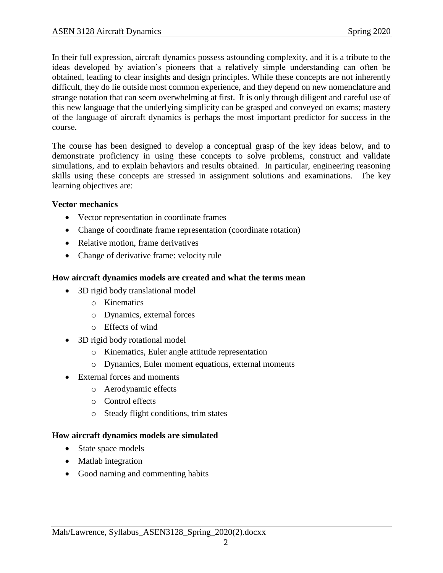In their full expression, aircraft dynamics possess astounding complexity, and it is a tribute to the ideas developed by aviation's pioneers that a relatively simple understanding can often be obtained, leading to clear insights and design principles. While these concepts are not inherently difficult, they do lie outside most common experience, and they depend on new nomenclature and strange notation that can seem overwhelming at first. It is only through diligent and careful use of this new language that the underlying simplicity can be grasped and conveyed on exams; mastery of the language of aircraft dynamics is perhaps the most important predictor for success in the course.

The course has been designed to develop a conceptual grasp of the key ideas below, and to demonstrate proficiency in using these concepts to solve problems, construct and validate simulations, and to explain behaviors and results obtained. In particular, engineering reasoning skills using these concepts are stressed in assignment solutions and examinations. The key learning objectives are:

### **Vector mechanics**

- Vector representation in coordinate frames
- Change of coordinate frame representation (coordinate rotation)
- Relative motion, frame derivatives
- Change of derivative frame: velocity rule

### **How aircraft dynamics models are created and what the terms mean**

- 3D rigid body translational model
	- o Kinematics
	- o Dynamics, external forces
	- o Effects of wind
- 3D rigid body rotational model
	- o Kinematics, Euler angle attitude representation
	- o Dynamics, Euler moment equations, external moments
- External forces and moments
	- o Aerodynamic effects
	- o Control effects
	- o Steady flight conditions, trim states

### **How aircraft dynamics models are simulated**

- State space models
- Matlab integration
- Good naming and commenting habits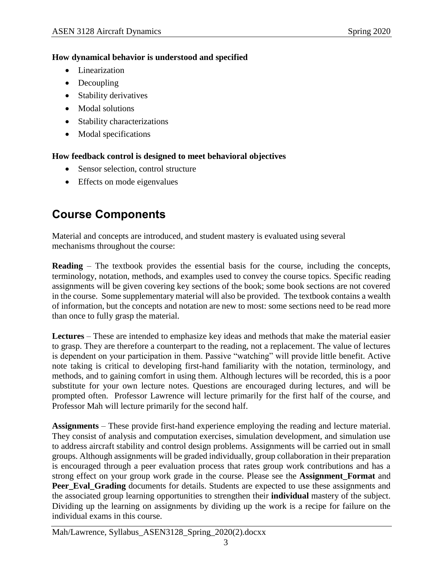### **How dynamical behavior is understood and specified**

- Linearization
- Decoupling
- Stability derivatives
- Modal solutions
- Stability characterizations
- Modal specifications

### **How feedback control is designed to meet behavioral objectives**

- Sensor selection, control structure
- Effects on mode eigenvalues

# **Course Components**

Material and concepts are introduced, and student mastery is evaluated using several mechanisms throughout the course:

**Reading** – The textbook provides the essential basis for the course, including the concepts, terminology, notation, methods, and examples used to convey the course topics. Specific reading assignments will be given covering key sections of the book; some book sections are not covered in the course. Some supplementary material will also be provided. The textbook contains a wealth of information, but the concepts and notation are new to most: some sections need to be read more than once to fully grasp the material.

**Lectures** – These are intended to emphasize key ideas and methods that make the material easier to grasp. They are therefore a counterpart to the reading, not a replacement. The value of lectures is dependent on your participation in them. Passive "watching" will provide little benefit. Active note taking is critical to developing first-hand familiarity with the notation, terminology, and methods, and to gaining comfort in using them. Although lectures will be recorded, this is a poor substitute for your own lecture notes. Questions are encouraged during lectures, and will be prompted often. Professor Lawrence will lecture primarily for the first half of the course, and Professor Mah will lecture primarily for the second half.

**Assignments** – These provide first-hand experience employing the reading and lecture material. They consist of analysis and computation exercises, simulation development, and simulation use to address aircraft stability and control design problems. Assignments will be carried out in small groups. Although assignments will be graded individually, group collaboration in their preparation is encouraged through a peer evaluation process that rates group work contributions and has a strong effect on your group work grade in the course. Please see the **Assignment\_Format** and **Peer Eval Grading** documents for details. Students are expected to use these assignments and the associated group learning opportunities to strengthen their **individual** mastery of the subject. Dividing up the learning on assignments by dividing up the work is a recipe for failure on the individual exams in this course.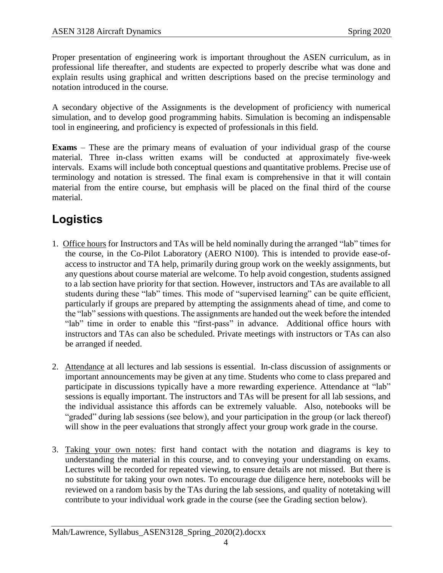Proper presentation of engineering work is important throughout the ASEN curriculum, as in professional life thereafter, and students are expected to properly describe what was done and explain results using graphical and written descriptions based on the precise terminology and notation introduced in the course.

A secondary objective of the Assignments is the development of proficiency with numerical simulation, and to develop good programming habits. Simulation is becoming an indispensable tool in engineering, and proficiency is expected of professionals in this field.

**Exams** – These are the primary means of evaluation of your individual grasp of the course material. Three in-class written exams will be conducted at approximately five-week intervals. Exams will include both conceptual questions and quantitative problems. Precise use of terminology and notation is stressed. The final exam is comprehensive in that it will contain material from the entire course, but emphasis will be placed on the final third of the course material.

# **Logistics**

- 1. Office hours for Instructors and TAs will be held nominally during the arranged "lab" times for the course, in the Co-Pilot Laboratory (AERO N100). This is intended to provide ease-ofaccess to instructor and TA help, primarily during group work on the weekly assignments, but any questions about course material are welcome. To help avoid congestion, students assigned to a lab section have priority for that section. However, instructors and TAs are available to all students during these "lab" times. This mode of "supervised learning" can be quite efficient, particularly if groups are prepared by attempting the assignments ahead of time, and come to the "lab" sessions with questions. The assignments are handed out the week before the intended "lab" time in order to enable this "first-pass" in advance. Additional office hours with instructors and TAs can also be scheduled. Private meetings with instructors or TAs can also be arranged if needed.
- 2. Attendance at all lectures and lab sessions is essential. In-class discussion of assignments or important announcements may be given at any time. Students who come to class prepared and participate in discussions typically have a more rewarding experience. Attendance at "lab" sessions is equally important. The instructors and TAs will be present for all lab sessions, and the individual assistance this affords can be extremely valuable. Also, notebooks will be "graded" during lab sessions (see below), and your participation in the group (or lack thereof) will show in the peer evaluations that strongly affect your group work grade in the course.
- 3. Taking your own notes: first hand contact with the notation and diagrams is key to understanding the material in this course, and to conveying your understanding on exams. Lectures will be recorded for repeated viewing, to ensure details are not missed. But there is no substitute for taking your own notes. To encourage due diligence here, notebooks will be reviewed on a random basis by the TAs during the lab sessions, and quality of notetaking will contribute to your individual work grade in the course (see the Grading section below).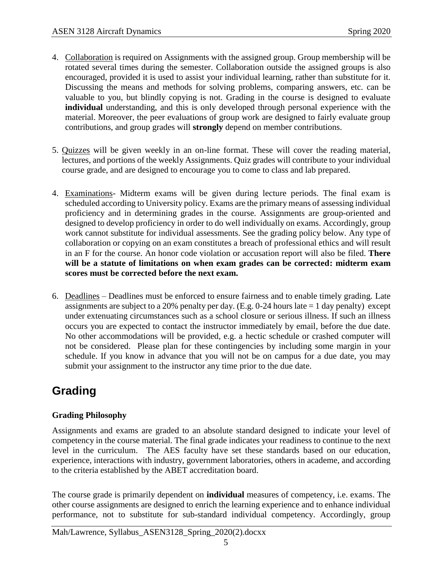- 4. Collaboration is required on Assignments with the assigned group. Group membership will be rotated several times during the semester. Collaboration outside the assigned groups is also encouraged, provided it is used to assist your individual learning, rather than substitute for it. Discussing the means and methods for solving problems, comparing answers, etc. can be valuable to you, but blindly copying is not. Grading in the course is designed to evaluate **individual** understanding, and this is only developed through personal experience with the material. Moreover, the peer evaluations of group work are designed to fairly evaluate group contributions, and group grades will **strongly** depend on member contributions.
- 5. Quizzes will be given weekly in an on-line format. These will cover the reading material, lectures, and portions of the weekly Assignments. Quiz grades will contribute to your individual course grade, and are designed to encourage you to come to class and lab prepared.
- 4. Examinations- Midterm exams will be given during lecture periods. The final exam is scheduled according to University policy. Exams are the primary means of assessing individual proficiency and in determining grades in the course. Assignments are group-oriented and designed to develop proficiency in order to do well individually on exams. Accordingly, group work cannot substitute for individual assessments. See the grading policy below. Any type of collaboration or copying on an exam constitutes a breach of professional ethics and will result in an F for the course. An honor code violation or accusation report will also be filed. **There will be a statute of limitations on when exam grades can be corrected: midterm exam scores must be corrected before the next exam.**
- 6. Deadlines Deadlines must be enforced to ensure fairness and to enable timely grading. Late assignments are subject to a 20% penalty per day. (E.g. 0-24 hours late  $= 1$  day penalty) except under extenuating circumstances such as a school closure or serious illness. If such an illness occurs you are expected to contact the instructor immediately by email, before the due date. No other accommodations will be provided, e.g. a hectic schedule or crashed computer will not be considered. Please plan for these contingencies by including some margin in your schedule. If you know in advance that you will not be on campus for a due date, you may submit your assignment to the instructor any time prior to the due date.

# **Grading**

### **Grading Philosophy**

Assignments and exams are graded to an absolute standard designed to indicate your level of competency in the course material. The final grade indicates your readiness to continue to the next level in the curriculum. The AES faculty have set these standards based on our education, experience, interactions with industry, government laboratories, others in academe, and according to the criteria established by the ABET accreditation board.

The course grade is primarily dependent on **individual** measures of competency, i.e. exams. The other course assignments are designed to enrich the learning experience and to enhance individual performance, not to substitute for sub-standard individual competency. Accordingly, group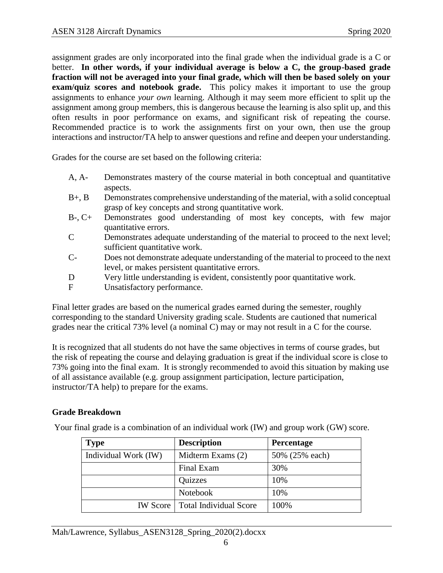assignment grades are only incorporated into the final grade when the individual grade is a C or better. **In other words, if your individual average is below a C, the group-based grade fraction will not be averaged into your final grade, which will then be based solely on your exam/quiz scores and notebook grade.** This policy makes it important to use the group assignments to enhance *your own* learning. Although it may seem more efficient to split up the assignment among group members, this is dangerous because the learning is also split up, and this often results in poor performance on exams, and significant risk of repeating the course. Recommended practice is to work the assignments first on your own, then use the group interactions and instructor/TA help to answer questions and refine and deepen your understanding.

Grades for the course are set based on the following criteria:

- A, A- Demonstrates mastery of the course material in both conceptual and quantitative aspects.
- B+, B Demonstrates comprehensive understanding of the material, with a solid conceptual grasp of key concepts and strong quantitative work.
- B-, C+ Demonstrates good understanding of most key concepts, with few major quantitative errors.
- C Demonstrates adequate understanding of the material to proceed to the next level; sufficient quantitative work.
- C- Does not demonstrate adequate understanding of the material to proceed to the next level, or makes persistent quantitative errors.
- D Very little understanding is evident, consistently poor quantitative work.
- F Unsatisfactory performance.

Final letter grades are based on the numerical grades earned during the semester, roughly corresponding to the standard University grading scale. Students are cautioned that numerical grades near the critical 73% level (a nominal C) may or may not result in a C for the course.

It is recognized that all students do not have the same objectives in terms of course grades, but the risk of repeating the course and delaying graduation is great if the individual score is close to 73% going into the final exam. It is strongly recommended to avoid this situation by making use of all assistance available (e.g. group assignment participation, lecture participation, instructor/TA help) to prepare for the exams.

### **Grade Breakdown**

| <b>Type</b>          | <b>Description</b>                       | <b>Percentage</b> |  |
|----------------------|------------------------------------------|-------------------|--|
| Individual Work (IW) | Midterm Exams (2)                        | 50% (25% each)    |  |
|                      | Final Exam                               | 30%               |  |
|                      | Quizzes                                  | 10%               |  |
|                      | Notebook                                 | 10%               |  |
|                      | <b>IW Score</b>   Total Individual Score | 100%              |  |

Your final grade is a combination of an individual work (IW) and group work (GW) score.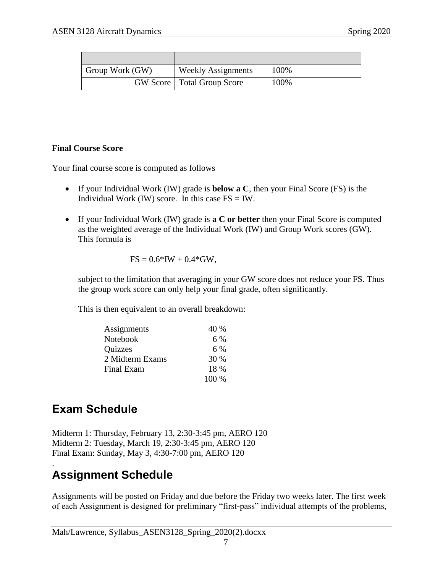| Group Work (GW) | <b>Weekly Assignments</b>           | 100% |
|-----------------|-------------------------------------|------|
|                 | <b>GW</b> Score   Total Group Score | 100% |

#### **Final Course Score**

Your final course score is computed as follows

- If your Individual Work (IW) grade is **below a C**, then your Final Score (FS) is the Individual Work (IW) score. In this case  $FS = IW$ .
- If your Individual Work (IW) grade is **a C or better** then your Final Score is computed as the weighted average of the Individual Work (IW) and Group Work scores (GW). This formula is

$$
FS = 0.6*IW + 0.4*GW,
$$

subject to the limitation that averaging in your GW score does not reduce your FS. Thus the group work score can only help your final grade, often significantly.

This is then equivalent to an overall breakdown:

| Assignments     | 40 %  |
|-----------------|-------|
| Notebook        | 6 %   |
| <b>Quizzes</b>  | 6 %   |
| 2 Midterm Exams | 30 %  |
| Final Exam      | 18 %  |
|                 | 100 % |

# **Exam Schedule**

Midterm 1: Thursday, February 13, 2:30-3:45 pm, AERO 120 Midterm 2: Tuesday, March 19, 2:30-3:45 pm, AERO 120 Final Exam: Sunday, May 3, 4:30-7:00 pm, AERO 120

### . **Assignment Schedule**

Assignments will be posted on Friday and due before the Friday two weeks later. The first week of each Assignment is designed for preliminary "first-pass" individual attempts of the problems,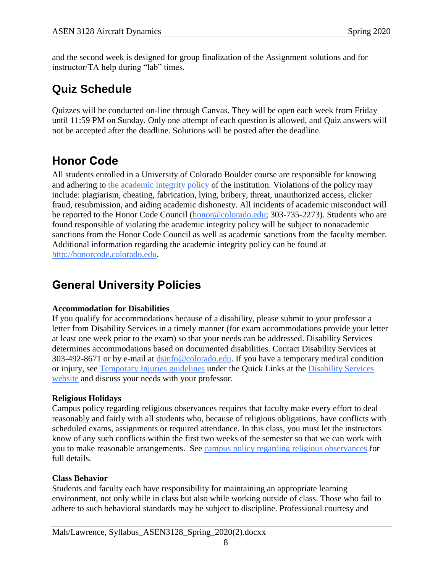and the second week is designed for group finalization of the Assignment solutions and for instructor/TA help during "lab" times.

# **Quiz Schedule**

Quizzes will be conducted on-line through Canvas. They will be open each week from Friday until 11:59 PM on Sunday. Only one attempt of each question is allowed, and Quiz answers will not be accepted after the deadline. Solutions will be posted after the deadline.

# **Honor Code**

All students enrolled in a University of Colorado Boulder course are responsible for knowing and adhering to [the academic integrity policy](http://www.alumniconnections.com/links/link.cgi?l=6835160&h=6451&e=UCBI-20151203180101) of the institution. Violations of the policy may include: plagiarism, cheating, fabrication, lying, bribery, threat, unauthorized access, clicker fraud, resubmission, and aiding academic dishonesty. All incidents of academic misconduct will be reported to the Honor Code Council [\(honor@colorado.edu;](mailto:honor@colorado.edu) 303-735-2273). Students who are found responsible of violating the academic integrity policy will be subject to nonacademic sanctions from the Honor Code Council as well as academic sanctions from the faculty member. Additional information regarding the academic integrity policy can be found at [http://honorcode.colorado.edu.](http://www.alumniconnections.com/links/link.cgi?l=6835161&h=6451&e=UCBI-20151203180101)

# **General University Policies**

### **Accommodation for Disabilities**

If you qualify for accommodations because of a disability, please submit to your professor a letter from Disability Services in a timely manner (for exam accommodations provide your letter at least one week prior to the exam) so that your needs can be addressed. Disability Services determines accommodations based on documented disabilities. Contact Disability Services at 303-492-8671 or by e-mail at [dsinfo@colorado.edu.](mailto:dsinfo@colorado.edu) If you have a temporary medical condition or injury, see [Temporary Injuries guidelines](http://www.alumniconnections.com/links/link.cgi?l=6835148&h=6451&e=UCBI-20151203180101) under the Quick Links at the [Disability Services](http://www.alumniconnections.com/links/link.cgi?l=6835149&h=6451&e=UCBI-20151203180101)  [website](http://www.alumniconnections.com/links/link.cgi?l=6835149&h=6451&e=UCBI-20151203180101) and discuss your needs with your professor.

### **Religious Holidays**

Campus policy regarding religious observances requires that faculty make every effort to deal reasonably and fairly with all students who, because of religious obligations, have conflicts with scheduled exams, assignments or required attendance. In this class, you must let the instructors know of any such conflicts within the first two weeks of the semester so that we can work with you to make reasonable arrangements. See [campus policy regarding religious observances](http://www.alumniconnections.com/links/link.cgi?l=6835152&h=6451&e=UCBI-20151203180101) for full details.

### **Class Behavior**

Students and faculty each have responsibility for maintaining an appropriate learning environment, not only while in class but also while working outside of class. Those who fail to adhere to such behavioral standards may be subject to discipline. Professional courtesy and